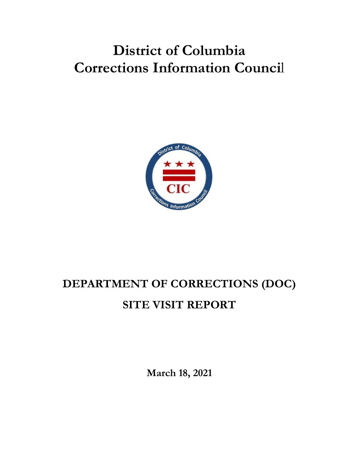## **District of Columbia Corrections Information Counci**l



# **DEPARTMENT OF CORRECTIONS (DOC) SITE VISIT REPORT**

**March 18, 2021**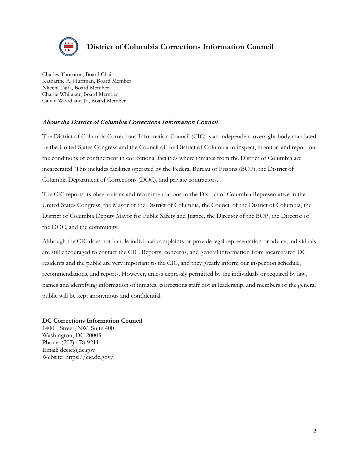

#### **District of Columbia Corrections Information Council**

Charles Thornton, Board Chair Katharine A. Huffman, Board Member Nkechi Taifa, Board Member Charlie Whitaker, Board Member Calvin Woodland Jr., Board Member

#### About the District of Columbia Corrections Information Council

The District of Columbia Corrections Information Council (CIC) is an independent oversight body mandated by the United States Congress and the Council of the District of Columbia to inspect, monitor, and report on the conditions of confinement in correctional facilities where inmates from the District of Columbia are incarcerated. This includes facilities operated by the Federal Bureau of Prisons (BOP), the District of Columbia Department of Corrections (DOC), and private contractors.

The CIC reports its observations and recommendations to the District of Columbia Representative in the United States Congress, the Mayor of the District of Columbia, the Council of the District of Columbia, the District of Columbia Deputy Mayor for Public Safety and Justice, the Director of the BOP, the Director of the DOC, and the community.

Although the CIC does not handle individual complaints or provide legal representation or advice, individuals are still encouraged to contact the CIC. Reports, concerns, and general information from incarcerated DC residents and the public are very important to the CIC, and they greatly inform our inspection schedule, recommendations, and reports. However, unless expressly permitted by the individuals or required by law, names and identifying information of inmates, corrections staff not in leadership, and members of the general public will be kept anonymous and confidential.

#### **DC Corrections Information Council**

1400 I Street, NW, Suite 400 Washington, DC 20005 Phone: (202) 478-9211 Email: dccic@dc.gov Website: https://cic.dc.gov/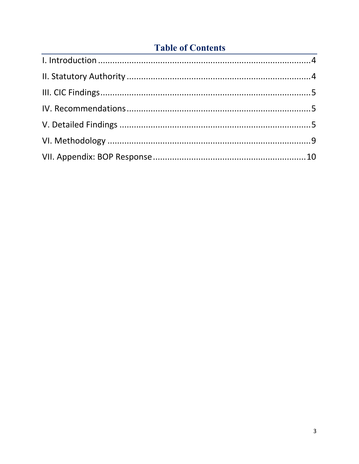## **Table of Contents**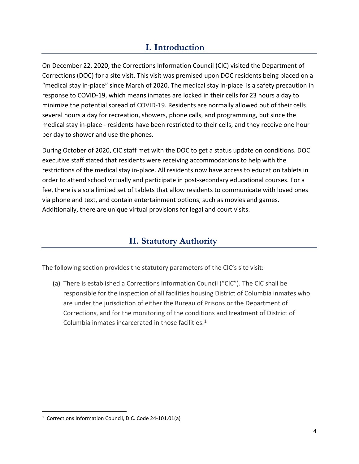## **I. Introduction**

<span id="page-3-0"></span>On December 22, 2020, the Corrections Information Council (CIC) visited the Department of Corrections (DOC) for a site visit. This visit was premised upon DOC residents being placed on a "medical stay in-place" since March of 2020. The medical stay in-place is a safety precaution in response to COVID-19, which means inmates are locked in their cells for 23 hours a day to minimize the potential spread of COVID-19. Residents are normally allowed out of their cells several hours a day for recreation, showers, phone calls, and programming, but since the medical stay in-place - residents have been restricted to their cells, and they receive one hour per day to shower and use the phones.

During October of 2020, CIC staff met with the DOC to get a status update on conditions. DOC executive staff stated that residents were receiving accommodations to help with the restrictions of the medical stay in-place. All residents now have access to education tablets in order to attend school virtually and participate in post-secondary educational courses. For a fee, there is also a limited set of tablets that allow residents to communicate with loved ones via phone and text, and contain entertainment options, such as movies and games. Additionally, there are unique virtual provisions for legal and court visits.

## **II. Statutory Authority**

<span id="page-3-1"></span>The following section provides the statutory parameters of the CIC's site visit:

**(a)** There is established a Corrections Information Council ("CIC"). The CIC shall be responsible for the inspection of all facilities housing District of Columbia inmates who are under the jurisdiction of either the Bureau of Prisons or the Department of Corrections, and for the monitoring of the conditions and treatment of District of Columbia inmates incarcerated in those facilities. $1$ 

<span id="page-3-2"></span><sup>&</sup>lt;sup>1</sup> Corrections Information Council, D.C. Code 24-101.01(a)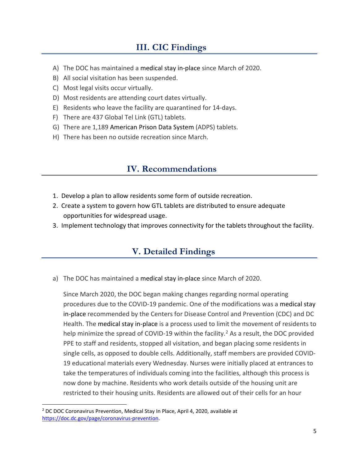## **III. CIC Findings**

- <span id="page-4-0"></span>A) The DOC has maintained a medical stay in-place since March of 2020.
- B) All social visitation has been suspended.
- C) Most legal visits occur virtually.
- D) Most residents are attending court dates virtually.
- E) Residents who leave the facility are quarantined for 14-days.
- F) There are 437 Global Tel Link (GTL) tablets.
- G) There are 1,189 American Prison Data System (ADPS) tablets.
- H) There has been no outside recreation since March.

## **IV. Recommendations**

- <span id="page-4-1"></span>1. Develop a plan to allow residents some form of outside recreation.
- 2. Create a system to govern how GTL tablets are distributed to ensure adequate opportunities for widespread usage.
- <span id="page-4-2"></span>3. Implement technology that improves connectivity for the tablets throughout the facility.

## **V. Detailed Findings**

a) The DOC has maintained a medical stay in-place since March of 2020.

Since March 2020, the DOC began making changes regarding normal operating procedures due to the COVID-19 pandemic. One of the modifications was a medical stay in-place recommended by the Centers for Disease Control and Prevention (CDC) and DC Health. The medical stay in-place is a process used to limit the movement of residents to help minimize the spread of COVID-19 within the facility.<sup>[2](#page-4-3)</sup> As a result, the DOC provided PPE to staff and residents, stopped all visitation, and began placing some residents in single cells, as opposed to double cells. Additionally, staff members are provided COVID-19 educational materials every Wednesday. Nurses were initially placed at entrances to take the temperatures of individuals coming into the facilities, although this process is now done by machine. Residents who work details outside of the housing unit are restricted to their housing units. Residents are allowed out of their cells for an hour

<span id="page-4-3"></span><sup>2</sup> DC DOC Coronavirus Prevention, Medical Stay In Place, April 4, 2020, available at [https://doc.dc.gov/page/coronavirus-prevention.](https://doc.dc.gov/page/coronavirus-prevention)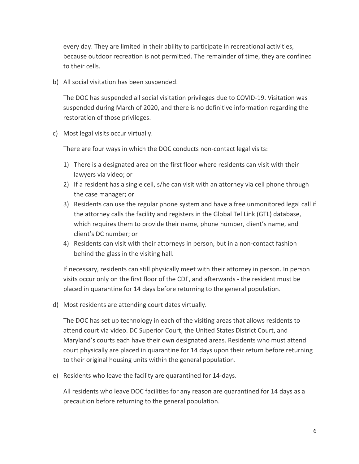every day. They are limited in their ability to participate in recreational activities, because outdoor recreation is not permitted. The remainder of time, they are confined to their cells.

b) All social visitation has been suspended.

The DOC has suspended all social visitation privileges due to COVID-19. Visitation was suspended during March of 2020, and there is no definitive information regarding the restoration of those privileges.

c) Most legal visits occur virtually.

There are four ways in which the DOC conducts non-contact legal visits:

- 1) There is a designated area on the first floor where residents can visit with their lawyers via video; or
- 2) If a resident has a single cell, s/he can visit with an attorney via cell phone through the case manager; or
- 3) Residents can use the regular phone system and have a free unmonitored legal call if the attorney calls the facility and registers in the Global Tel Link (GTL) database, which requires them to provide their name, phone number, client's name, and client's DC number; or
- 4) Residents can visit with their attorneys in person, but in a non-contact fashion behind the glass in the visiting hall.

If necessary, residents can still physically meet with their attorney in person. In person visits occur only on the first floor of the CDF, and afterwards - the resident must be placed in quarantine for 14 days before returning to the general population.

d) Most residents are attending court dates virtually.

The DOC has set up technology in each of the visiting areas that allows residents to attend court via video. DC Superior Court, the United States District Court, and Maryland's courts each have their own designated areas. Residents who must attend court physically are placed in quarantine for 14 days upon their return before returning to their original housing units within the general population.

e) Residents who leave the facility are quarantined for 14-days.

All residents who leave DOC facilities for any reason are quarantined for 14 days as a precaution before returning to the general population.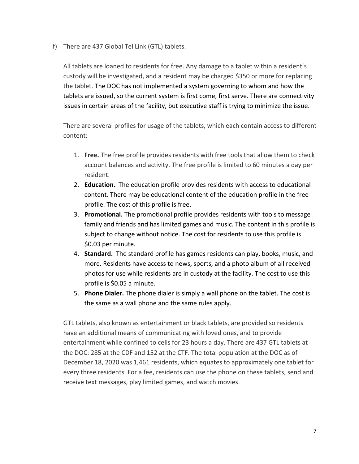f) There are 437 Global Tel Link (GTL) tablets.

All tablets are loaned to residents for free. Any damage to a tablet within a resident's custody will be investigated, and a resident may be charged \$350 or more for replacing the tablet. The DOC has not implemented a system governing to whom and how the tablets are issued, so the current system is first come, first serve. There are connectivity issues in certain areas of the facility, but executive staff is trying to minimize the issue.

There are several profiles for usage of the tablets, which each contain access to different content:

- 1. **Free.** The free profile provides residents with free tools that allow them to check account balances and activity. The free profile is limited to 60 minutes a day per resident.
- 2. **Education**. The education profile provides residents with access to educational content. There may be educational content of the education profile in the free profile. The cost of this profile is free.
- 3. **Promotional.** The promotional profile provides residents with tools to message family and friends and has limited games and music. The content in this profile is subject to change without notice. The cost for residents to use this profile is \$0.03 per minute.
- 4. **Standard.** The standard profile has games residents can play, books, music, and more. Residents have access to news, sports, and a photo album of all received photos for use while residents are in custody at the facility. The cost to use this profile is \$0.05 a minute.
- 5. **Phone Dialer.** The phone dialer is simply a wall phone on the tablet. The cost is the same as a wall phone and the same rules apply.

GTL tablets, also known as entertainment or black tablets, are provided so residents have an additional means of communicating with loved ones, and to provide entertainment while confined to cells for 23 hours a day. There are 437 GTL tablets at the DOC: 285 at the CDF and 152 at the CTF. The total population at the DOC as of December 18, 2020 was 1,461 residents, which equates to approximately one tablet for every three residents. For a fee, residents can use the phone on these tablets, send and receive text messages, play limited games, and watch movies.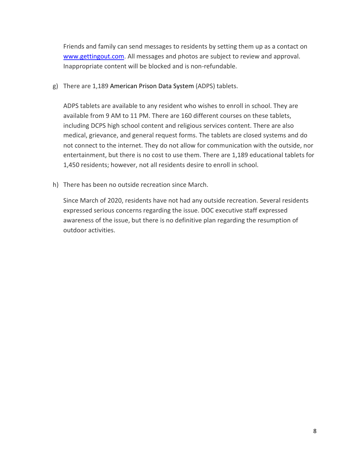Friends and family can send messages to residents by setting them up as a contact on [www.gettingout.com.](http://www.gettingout.com/) All messages and photos are subject to review and approval. Inappropriate content will be blocked and is non-refundable.

g) There are 1,189 American Prison Data System (ADPS) tablets.

ADPS tablets are available to any resident who wishes to enroll in school. They are available from 9 AM to 11 PM. There are 160 different courses on these tablets, including DCPS high school content and religious services content. There are also medical, grievance, and general request forms. The tablets are closed systems and do not connect to the internet. They do not allow for communication with the outside, nor entertainment, but there is no cost to use them. There are 1,189 educational tablets for 1,450 residents; however, not all residents desire to enroll in school.

h) There has been no outside recreation since March.

Since March of 2020, residents have not had any outside recreation. Several residents expressed serious concerns regarding the issue. DOC executive staff expressed awareness of the issue, but there is no definitive plan regarding the resumption of outdoor activities.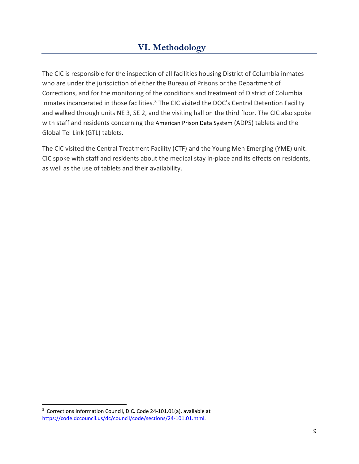## **VI. Methodology**

<span id="page-8-0"></span>The CIC is responsible for the inspection of all facilities housing District of Columbia inmates who are under the jurisdiction of either the Bureau of Prisons or the Department of Corrections, and for the monitoring of the conditions and treatment of District of Columbia inmates incarcerated in those facilities.<sup>3</sup> The CIC visited the DOC's Central Detention Facility and walked through units NE 3, SE 2, and the visiting hall on the third floor. The CIC also spoke with staff and residents concerning the American Prison Data System (ADPS) tablets and the Global Tel Link (GTL) tablets.

The CIC visited the Central Treatment Facility (CTF) and the Young Men Emerging (YME) unit. CIC spoke with staff and residents about the medical stay in-place and its effects on residents, as well as the use of tablets and their availability.

<span id="page-8-1"></span><sup>&</sup>lt;sup>3</sup> Corrections Information Council, D.C. Code 24-101.01(a), available at [https://code.dccouncil.us/dc/council/code/sections/24-101.01.html.](https://code.dccouncil.us/dc/council/code/sections/24-101.01.html)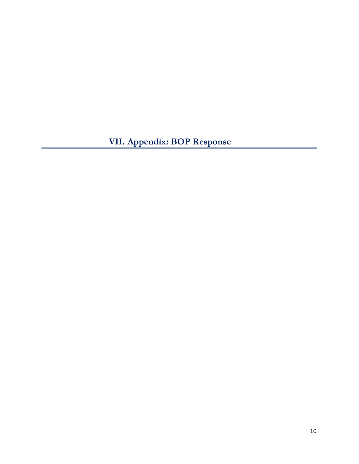<span id="page-9-0"></span>**VII. Appendix: BOP Response**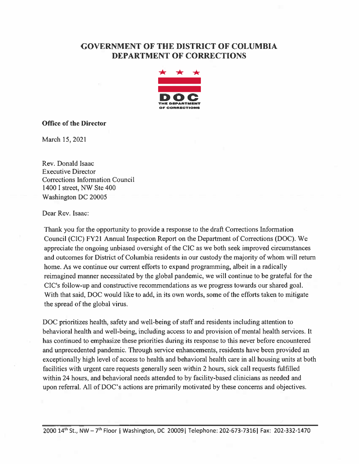#### **GOVERNMENT OF THE DISTRICT OF COLUMBIA DEPARTMENT OF CORRECTIONS**



#### **Office of the Director**

March 15, 2021

Rev. Donald Isaac **Executive Director Corrections Information Council** 1400 I street, NW Ste 400 **Washington DC 20005** 

Dear Rev. Isaac:

Thank you for the opportunity to provide a response to the draft Corrections Information Council (CIC) FY21 Annual Inspection Report on the Department of Corrections (DOC). We appreciate the ongoing unbiased oversight of the CIC as we both seek improved circumstances and outcomes for District of Columbia residents in our custody the majority of whom will return home. As we continue our current efforts to expand programming, albeit in a radically reimagined manner necessitated by the global pandemic, we will continue to be grateful for the CIC's follow-up and constructive recommendations as we progress towards our shared goal. With that said, DOC would like to add, in its own words, some of the efforts taken to mitigate the spread of the global virus.

DOC prioritizes health, safety and well-being of staff and residents including attention to behavioral health and well-being, including access to and provision of mental health services. It has continued to emphasize these priorities during its response to this never before encountered and unprecedented pandemic. Through service enhancements, residents have been provided an exceptionally high level of access to health and behavioral health care in all housing units at both facilities with urgent care requests generally seen within 2 hours, sick call requests fulfilled within 24 hours, and behavioral needs attended to by facility-based clinicians as needed and upon referral. All of DOC's actions are primarily motivated by these concerns and objectives.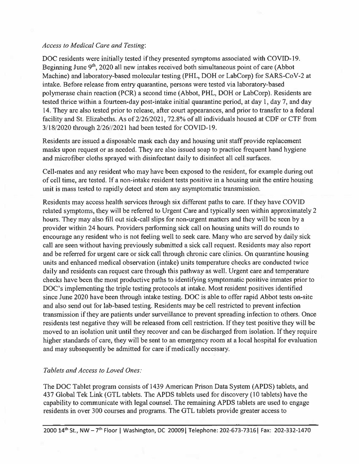#### **Access to Medical Care and Testing:**

DOC residents were initially tested if they presented symptoms associated with COVID-19. Beginning June 9<sup>th</sup>, 2020 all new intakes received both simultaneous point of care (Abbot Machine) and laboratory-based molecular testing (PHL, DOH or LabCorp) for SARS-CoV-2 at intake. Before release from entry quarantine, persons were tested via laboratory-based polymerase chain reaction (PCR) a second time (Abbot, PHL, DOH or LabCorp). Residents are tested thrice within a fourteen-day post-intake initial quarantine period, at day 1, day 7, and day 14. They are also tested prior to release, after court appearances, and prior to transfer to a federal facility and St. Elizabeths. As of 2/26/2021, 72.8% of all individuals housed at CDF or CTF from 3/18/2020 through 2/26//2021 had been tested for COVID-19.

Residents are issued a disposable mask each day and housing unit staff provide replacement masks upon request or as needed. They are also issued soap to practice frequent hand hygiene and microfiber cloths sprayed with disinfectant daily to disinfect all cell surfaces.

Cell-mates and any resident who may have been exposed to the resident, for example during out of cell time, are tested. If a non-intake resident tests positive in a housing unit the entire housing unit is mass tested to rapidly detect and stem any asymptomatic transmission.

Residents may access health services through six different paths to care. If they have COVID related symptoms, they will be referred to Urgent Care and typically seen within approximately 2 hours. They may also fill out sick-call slips for non-urgent matters and they will be seen by a provider within 24 hours. Providers performing sick call on housing units will do rounds to encourage any resident who is not feeling well to seek care. Many who are served by daily sick call are seen without having previously submitted a sick call request. Residents may also report and be referred for urgent care or sick call through chronic care clinics. On quarantine housing units and enhanced medical observation (intake) units temperature checks are conducted twice daily and residents can request care through this pathway as well. Urgent care and temperature checks have been the most productive paths to identifying symptomatic positive inmates prior to DOC's implementing the triple testing protocols at intake. Most resident positives identified since June 2020 have been through intake testing. DOC is able to offer rapid Abbot tests on-site and also send out for lab-based testing. Residents may be cell restricted to prevent infection transmission if they are patients under surveillance to prevent spreading infection to others. Once residents test negative they will be released from cell restriction. If they test positive they will be moved to an isolation unit until they recover and can be discharged from isolation. If they require higher standards of care, they will be sent to an emergency room at a local hospital for evaluation and may subsequently be admitted for care if medically necessary.

#### Tablets and Access to Loved Ones:

The DOC Tablet program consists of 1439 American Prison Data System (APDS) tablets, and 437 Global Tek Link (GTL tablets. The APDS tablets used for discovery (10 tablets) have the capability to communicate with legal counsel. The remaining APDS tablets are used to engage residents in over 300 courses and programs. The GTL tablets provide greater access to